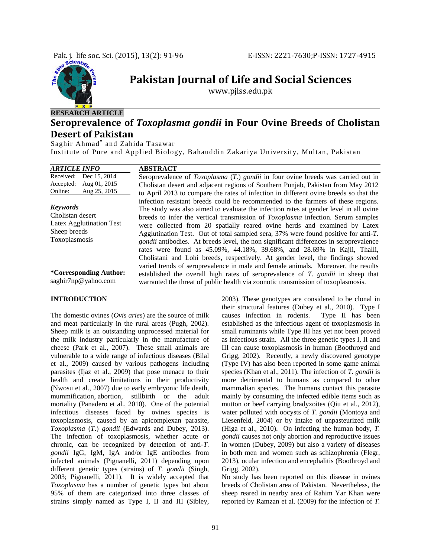

# **Pakistan Journal of Life and Social Sciences**

www.pjlss.edu.pk

## **Seroprevalence of** *Toxoplasma gondii* **in Four Ovine Breeds of Cholistan Desert of Pakistan**

Saghir Ahmad**\*** and Zahida Tasawar

Institute of Pure and Applied Biology, Bahauddin Zakariya University, Multan, Pakistan

| <b>ARTICLE INFO</b>                                                                              | <b>ABSTRACT</b>                                                                                                                                                                                                                                                                                                                                                                                                                                                                                                                                                                                                                                                                                       |  |  |  |
|--------------------------------------------------------------------------------------------------|-------------------------------------------------------------------------------------------------------------------------------------------------------------------------------------------------------------------------------------------------------------------------------------------------------------------------------------------------------------------------------------------------------------------------------------------------------------------------------------------------------------------------------------------------------------------------------------------------------------------------------------------------------------------------------------------------------|--|--|--|
| Dec 15, 2014<br>Received:<br>Aug 01, 2015<br>Accepted:<br>Aug 25, 2015<br>Online:                | Seroprevalence of <i>Toxoplasma</i> (T.) <i>gondii</i> in four ovine breeds was carried out in<br>Cholistan desert and adjacent regions of Southern Punjab, Pakistan from May 2012<br>to April 2013 to compare the rates of infection in different ovine breeds so that the                                                                                                                                                                                                                                                                                                                                                                                                                           |  |  |  |
| <b>Keywords</b><br>Cholistan desert<br>Latex Agglutination Test<br>Sheep breeds<br>Toxoplasmosis | infection resistant breeds could be recommended to the farmers of these regions.<br>The study was also aimed to evaluate the infection rates at gender level in all ovine<br>breeds to infer the vertical transmission of <i>Toxoplasma</i> infection. Serum samples<br>were collected from 20 spatially reared ovine herds and examined by Latex<br>Agglutination Test. Out of total sampled sera, 37% were found positive for anti-T.<br><i>gondii</i> antibodies. At breeds level, the non significant differences in seroprevalence<br>rates were found as 45.09%, 44.18%, 39.68%, and 28.69% in Kajli, Thalli,<br>Cholistani and Lohi breeds, respectively. At gender level, the findings showed |  |  |  |
| *Corresponding Author:<br>saghir7np@yahoo.com                                                    | varied trends of seroprevalence in male and female animals. Moreover, the results<br>established the overall high rates of seroprevalence of T. gondii in sheep that<br>warranted the threat of public health via zoonotic transmission of toxoplasmosis.                                                                                                                                                                                                                                                                                                                                                                                                                                             |  |  |  |

#### **INTRODUCTION**

The domestic ovines (*Ovis aries*) are the source of milk and meat particularly in the rural areas (Pugh, 2002). Sheep milk is an outstanding unprocessed material for the milk industry particularly in the manufacture of cheese (Park et al., 2007). These small animals are vulnerable to a wide range of infectious diseases (Bilal et al., 2009) caused by various pathogens including parasites (Ijaz et al., 2009) that pose menace to their health and create limitations in their productivity (Nwosu et al., 2007) due to early embryonic life death, mummification, abortion, stillbirth or the adult mortality (Panadero et al., 2010). One of the potential infectious diseases faced by ovines species is toxoplasmosis, caused by an apicomplexan parasite, *Toxoplasma* (*T*.) *gondii* (Edwards and Dubey, 2013). The infection of toxoplasmosis, whether acute or chronic, can be recognized by detection of anti-*T*. *gondii* IgG, IgM, IgA and/or IgE antibodies from infected animals (Pignanelli, 2011) depending upon different genetic types (strains) of *T. gondii* (Singh, 2003; Pignanelli, 2011). It is widely accepted that *Toxoplasma* has a number of genetic types but about 95% of them are categorized into three classes of strains simply named as Type I, II and III (Sibley,

2003). These genotypes are considered to be clonal in their structural features (Dubey et al., 2010). Type I causes infection in rodents. Type II has been established as the infectious agent of toxoplasmosis in small ruminants while Type III has yet not been proved as infectious strain. All the three genetic types I, II and III can cause toxoplasmosis in human (Boothroyd and Grigg, 2002). Recently, a newly discovered genotype (Type IV) has also been reported in some game animal species (Khan et al., 2011). The infection of *T. gondii* is more detrimental to humans as compared to other mammalian species. The humans contact this parasite mainly by consuming the infected edible items such as mutton or beef carrying bradyzoites (Qiu et al., 2012), water polluted with oocysts of *T. gondii* (Montoya and Liesenfeld, 2004) or by intake of unpasteurized milk (Higa et al., 2010). On infecting the human body, *T. gondii* causes not only abortion and reproductive issues in women (Dubey, 2009) but also a variety of diseases in both men and women such as schizophrenia (Flegr, 2013), ocular infection and encephalitis (Boothroyd and Grigg, 2002).

No study has been reported on this disease in ovines breeds of Cholistan area of Pakistan. Nevertheless, the sheep reared in nearby area of Rahim Yar Khan were reported by Ramzan et al. (2009) for the infection of *T.*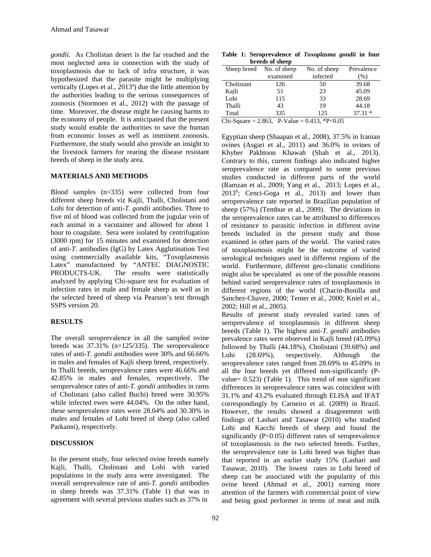*gondii*. As Cholistan desert is the far reached and the most neglected area in connection with the study of toxoplasmosis due to lack of infra structure, it was hypothesized that the parasite might be multiplying vertically (Lopes et al.,  $2013<sup>a</sup>$ ) due the little attention by the authorities leading to the serious consequences of zoonosis (Stormoen et al., 2012) with the passage of time. Moreover, the disease might be causing harms to the economy of people. It is anticipated that the present study would enable the authorities to save the human from economic losses as well as imminent zoonosis. Furthermore, the study would also provide an insight to the livestock farmers for rearing the disease resistant breeds of sheep in the study area.

#### **MATERIALS AND METHODS**

Blood samples (n=335) were collected from four different sheep breeds viz Kajli, Thalli, Cholistani and Lohi for detection of anti-*T. gondii* antibodies. Three to five ml of blood was collected from the jugular vein of each animal in a vacutainer and allowed for about 1 hour to coagulate. Sera were isolated by centrifugation (3000 rpm) for 15 minutes and examined for detection of anti-*T.* antibodies (IgG) by Latex Agglutination Test using commercially available kits, "Toxoplasmosis Latex" manufactured by "ANTEC DIAGNOSTIC PRODUCTS-UK. The results were statistically analyzed by applying Chi-square test for evaluation of infection rates in male and female sheep as well as in the selected breed of sheep via Pearson's test through SSPS version 20.

#### **RESULTS**

The overall seroprevalence in all the sampled ovine breeds was 37.31% (n=125/335). The seroprevalence rates of anti-*T. gondii* antibodies were 30% and 66.66% in males and females of Kajli sheep breed, respectively. In Thalli breeds, seroprevalence rates were 46.66% and 42.85% in males and females, respectively. The seroprevalence rates of anti-*T. gondii* antibodies in rams of Cholistani (also called Buchi) breed were 30.95% while infected ewes were 44.04%. On the other hand, these seroprevalence rates were 28.04% and 30.30% in males and females of Lohi breed of sheep (also called Parkanni), respectively.

## **DISCUSSION**

In the present study, four selected ovine breeds namely Kajli, Thalli, Cholistani and Lohi with varied populations in the study area were investigated. The overall seroprevalence rate of anti-*T. gondii* antibodies in sheep breeds was 37.31% (Table 1) that was in agreement with several previous studies such as 37% in

**Table 1: Seroprevalence of** *Toxoplasma gondii* **in four breeds of sheep** 

| Sheep breed | No. of sheep<br>No. of sheep |          | Prevalence |  |  |  |  |  |
|-------------|------------------------------|----------|------------|--|--|--|--|--|
|             | examined                     | infected | $(\%)$     |  |  |  |  |  |
| Cholistani  | 126                          | 50       | 39.68      |  |  |  |  |  |
| Kajli       | 51                           | 23       | 45.09      |  |  |  |  |  |
| Lohi        | 115                          | 33       | 28.69      |  |  |  |  |  |
| Thalli      | 43                           | 19       | 44.18      |  |  |  |  |  |
| Total       | 335                          | 125      | $37.31*$   |  |  |  |  |  |
|             |                              |          |            |  |  |  |  |  |

 $\overline{\text{Chi-Square}} = 2.863$ , P-Value = 0.413, \*P<0.05

Egyptian sheep (Shaapan et al., 2008), 37.5% in Iranian ovines (Asgari et al., 2011) and 36.0% in ovines of Khyber Pakhtoon Khawah (Shah et al., 2013). Contrary to this, current findings also indicated higher seroprevalence rate as compared to some previous studies conducted in different parts of the world (Ramzan et al., 2009; Yang et al., 2013; Lopes et al.,  $2013^b$ ; Cenci-Goga et al., 2013) and lower than seroprevalence rate reported in Brazilian population of sheep (57%) (Tembue et al., 2009). The deviations in the seroprevalence rates can be attributed to differences of resistance to parasitic infection in different ovine breeds included in the present study and those examined in other parts of the world. The varied rates of toxoplasmosis might be the outcome of varied serological techniques used in different regions of the world. Furthermore, different geo-climatic conditions might also be speculated as one of the possible reasons behind varied seroprevalence rates of toxoplasmosis in different regions of the world (Chacin-Bonilla and Sanchez-Chavez, 2000; Tenter et al., 2000; Kniel et al., 2002; Hill et al., 2005).

Results of present study revealed varied rates of seroprevalence of toxoplasmosis in different sheep breeds (Table 1). The highest anti-*T. gondii* antibodies prevalence rates were observed in Kajli breed (45.09%) followed by Thalli (44.18%), Cholistani (39.68%) and Lohi (28.69%), respectively. Although the seroprevalence rates ranged from 28.69% to 45.09% in all the four breeds yet differed non-significantly (Pvalue= 0.523) (Table 1). This trend of non significant differences in seroprevalence rates was coincident with 31.1% and 43.2% evaluated through ELISA and IFAT correspondingly by Carneiro et al. (2009) in Brazil. However, the results showed a disagreement with findings of Lashari and Tasawar (2010) who studied Lohi and Kacchi breeds of sheep and found the significantly (P<0.05) different rates of seroprevalence of toxoplasmosis in the two selected breeds. Further, the seroprevalence rate in Lohi breed was higher than that reported in an earlier study 15% (Lashari and Tasawar, 2010). The lowest rates in Lohi breed of sheep can be associated with the popularity of this ovine breed (Ahmad et al., 2001) earning more attention of the farmers with commercial point of view and being good performer in terms of meat and milk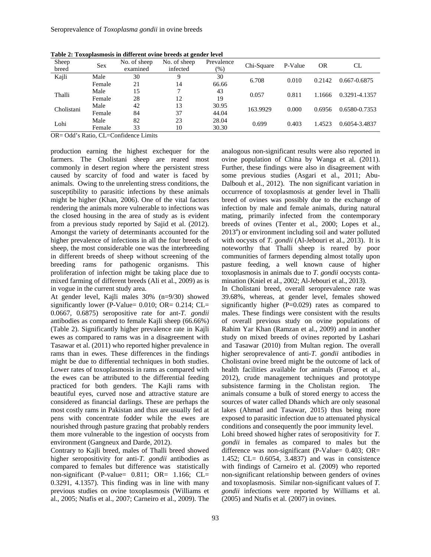| Sheep<br>breed | <b>Sex</b> | No. of sheep<br>examined | No. of sheep<br>infected | Prevalence<br>$(\%)$ | Chi-Square | P-Value | <b>OR</b> | CL            |
|----------------|------------|--------------------------|--------------------------|----------------------|------------|---------|-----------|---------------|
|                |            |                          |                          |                      |            |         |           |               |
| Kajli          | Male       | 30                       | Q                        | 30                   | 6.708      | 0.010   | 0.2142    | 0.667-0.6875  |
|                | Female     | 21                       | 14                       | 66.66                |            |         |           |               |
| Thalli         | Male       | 15                       | $\mathbf{r}$             | 43                   | 0.057      | 0.811   | 1.1666    | 0.3291-4.1357 |
|                | Female     | 28                       | 12                       | 19                   |            |         |           |               |
| Cholistani     | Male       | 42                       | 13                       | 30.95                | 163.9929   | 0.000   | 0.6956    | 0.6580-0.7353 |
|                | Female     | 84                       | 37                       | 44.04                |            |         |           |               |
| Lohi           | Male       | 82                       | 23                       | 28.04                | 0.699      | 0.403   | 1.4523    | 0.6054-3.4837 |
|                | Female     | 33                       | 10                       | 30.30                |            |         |           |               |

**Table 2: Toxoplasmosis in different ovine breeds at gender level** 

OR= Odd's Ratio, CL=Confidence Limits

production earning the highest exchequer for the farmers. The Cholistani sheep are reared most commonly in desert region where the persistent stress caused by scarcity of food and water is faced by animals. Owing to the unrelenting stress conditions, the susceptibility to parasitic infections by these animals might be higher (Khan, 2006). One of the vital factors rendering the animals more vulnerable to infections was the closed housing in the area of study as is evident from a previous study reported by Sajid et al. (2012). Amongst the variety of determinants accounted for the higher prevalence of infections in all the four breeds of sheep, the most considerable one was the interbreeding in different breeds of sheep without screening of the breeding rams for pathogenic organisms. This proliferation of infection might be taking place due to mixed farming of different breeds (Ali et al., 2009) as is in vogue in the current study area.

At gender level, Kajli males 30% (n=9/30) showed significantly lower (P-Value= 0.010; OR= 0.214; CL= 0.0667, 0.6875) seropositive rate for ant-*T. gondii* antibodies as compared to female Kajli sheep (66.66%) (Table 2). Significantly higher prevalence rate in Kajli ewes as compared to rams was in a disagreement with Tasawar et al. (2011) who reported higher prevalence in rams than in ewes. These differences in the findings might be due to differential techniques in both studies. Lower rates of toxoplasmosis in rams as compared with the ewes can be attributed to the differential feeding practiced for both genders. The Kajli rams with beautiful eyes, curved nose and attractive stature are considered as financial darlings. These are perhaps the most costly rams in Pakistan and thus are usually fed at pens with concentrate fodder while the ewes are nourished through pasture grazing that probably renders them more vulnerable to the ingestion of oocysts from environment (Gangneux and Darde, 2012).

Contrary to Kajli breed, males of Thalli breed showed higher seropositivity for anti-*T. gondii* antibodies as compared to females but difference was statistically non-significant (P-value=  $0.811$ ; OR=  $1.166$ ; CL= 0.3291, 4.1357). This finding was in line with many previous studies on ovine toxoplasmosis (Williams et al., 2005; Ntafis et al., 2007; Carneiro et al., 2009). The

analogous non-significant results were also reported in ovine population of China by Wanga et al. (2011). Further, these findings were also in disagreement with some previous studies (Asgari et al., 2011; Abu-Dalbouh et al., 2012). The non significant variation in occurrence of toxoplasmosis at gender level in Thalli breed of ovines was possibly due to the exchange of infection by male and female animals, during natural mating, primarily infected from the contemporary breeds of ovines (Tenter et al., 2000; Lopes et al., 2013<sup>a</sup>) or environment including soil and water polluted with oocysts of *T. gondii* (Al-Jebouri et al., 2013). It is noteworthy that Thalli sheep is reared by poor communities of farmers depending almost totally upon pasture feeding, a well known cause of higher toxoplasmosis in animals due to *T. gondii* oocysts contamination (Kniel et al., 2002; Al-Jebouri et al., 2013).

In Cholistani breed, overall seroprevalence rate was 39.68%, whereas, at gender level, females showed significantly higher (P=0.029) rates as compared to males. These findings were consistent with the results of overall previous study on ovine populations of Rahim Yar Khan (Ramzan et al., 2009) and in another study on mixed breeds of ovines reported by Lashari and Tasawar (2010) from Multan region. The overall higher seroprevalence of anti-*T. gondii* antibodies in Cholistani ovine breed might be the outcome of lack of health facilities available for animals (Farooq et al., 2012), crude management techniques and prototype subsistence farming in the Cholistan region. The animals consume a bulk of stored energy to access the sources of water called Dhands which are only seasonal lakes (Ahmad and Tasawar, 2015) thus being more exposed to parasitic infection due to attenuated physical conditions and consequently the poor immunity level.

Lohi breed showed higher rates of seropositivity for *T. gondii* in females as compared to males but the difference was non-significant (P-Value= 0.403; OR= 1.452; CL= 0.6054, 3.4837) and was in consistence with findings of Carneiro et al. (2009) who reported non-significant relationship between genders of ovines and toxoplasmosis. Similar non-significant values of *T. gondii* infections were reported by Williams et al. (2005) and Ntafis et al. (2007) in ovines.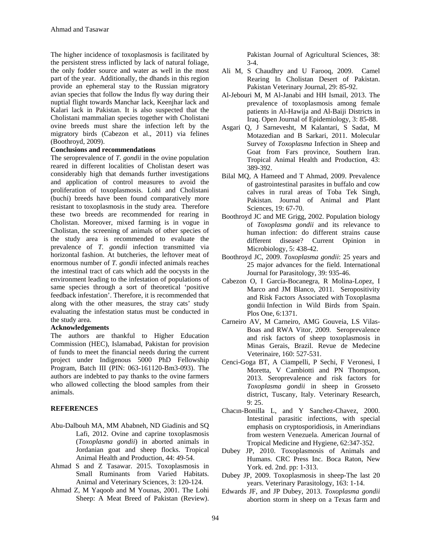The higher incidence of toxoplasmosis is facilitated by the persistent stress inflicted by lack of natural foliage, the only fodder source and water as well in the most part of the year. Additionally, the dhands in this region provide an ephemeral stay to the Russian migratory avian species that follow the Indus fly way during their nuptial flight towards Manchar lack, Keenjhar lack and Kalari lack in Pakistan. It is also suspected that the Cholistani mammalian species together with Cholistani ovine breeds must share the infection left by the migratory birds (Cabezon et al., 2011) via felines (Boothroyd, 2009).

#### **Conclusions and recommendations**

The seroprevalence of *T. gondii* in the ovine population reared in different localities of Cholistan desert was considerably high that demands further investigations and application of control measures to avoid the proliferation of toxoplasmosis. Lohi and Cholistani (buchi) breeds have been found comparatively more resistant to toxoplasmosis in the study area. Therefore these two breeds are recommended for rearing in Cholistan. Moreover, mixed farming is in vogue in Cholistan, the screening of animals of other species of the study area is recommended to evaluate the prevalence of *T. gondii* infection transmitted via horizontal fashion. At butcheries, the leftover meat of enormous number of *T. gondii* infected animals reaches the intestinal tract of cats which add the oocysts in the environment leading to the infestation of populations of same species through a sort of theoretical 'positive feedback infestation'. Therefore, it is recommended that along with the other measures, the stray cats' study evaluating the infestation status must be conducted in the study area.

#### **Acknowledgements**

The authors are thankful to Higher Education Commission (HEC), Islamabad, Pakistan for provision of funds to meet the financial needs during the current project under Indigenous 5000 PhD Fellowship Program, Batch III (PIN: 063-161120-Bm3-093). The authors are indebted to pay thanks to the ovine farmers who allowed collecting the blood samples from their animals.

## **REFERENCES**

- Abu-Dalbouh MA, MM Ababneh, ND Giadinis and SQ Lafi, 2012. Ovine and caprine toxoplasmosis (*Toxoplasma gondii*) in aborted animals in Jordanian goat and sheep flocks. Tropical Animal Health and Production, 44: 49-54.
- Ahmad S and Z Tasawar. 2015. Toxoplasmosis in Small Ruminants from Varied Habitats. Animal and Veterinary Sciences, 3: 120-124.
- Ahmad Z, M Yaqoob and M Younas, 2001. The Lohi Sheep: A Meat Breed of Pakistan (Review).

Pakistan Journal of Agricultural Sciences, 38: 3-4.

- Ali M, S Chaudhry and U Farooq, 2009. Camel Rearing In Cholistan Desert of Pakistan. Pakistan Veterinary Journal, 29: 85-92.
- Al-Jebouri M, M Al-Janabi and HH Ismail, 2013. The prevalence of toxoplasmosis among female patients in Al-Hawija and Al-Baiji Districts in Iraq. Open Journal of Epidemiology*,* 3: 85-88.
- Asgari Q, J Sarnevesht, M Kalantari, S Sadat, M Motazedian and B Sarkari, 2011. Molecular Survey of *Toxoplasma* Infection in Sheep and Goat from Fars province, Southern Iran. Tropical Animal Health and Production, 43: 389-392.
- Bilal MQ, A Hameed and T Ahmad, 2009. Prevalence of gastrointestinal parasites in buffalo and cow calves in rural areas of Toba Tek Singh, Pakistan. Journal of Animal and Plant Sciences, 19: 67-70.
- Boothroyd JC and ME Grigg, 2002. Population biology of *Toxoplasma gondii* and its relevance to human infection: do different strains cause different disease? Current Opinion in Microbiology, 5: 438-42.
- Boothroyd JC, 2009. *Toxoplasma gondii*: 25 years and 25 major advances for the field. International Journal for Parasitology*,* 39: 935-46.
- Cabezon O, I García-Bocanegra, R Molina-Lopez, I Marco and JM Blanco, 2011. Seropositivity and Risk Factors Associated with Toxoplasma gondii Infection in Wild Birds from Spain. Plos One, 6:1371.
- Carneiro AV, M Carneiro, AMG Gouveia, LS Vilas-Boas and RWA Vitor, 2009. Seroprevalence and risk factors of sheep toxoplasmosis in Minas Gerais, Brazil. Revue de Medecine Veterinaire, 160: 527-531.
- Cenci-Goga BT, A Ciampelli, P Sechi, F Veronesi, I Moretta, V Cambiotti and PN Thompson, 2013. Seroprevalence and risk factors for *Toxoplasma gondii* in sheep in Grosseto district, Tuscany, Italy. Veterinary Research, 9: 25.
- Chacın-Bonilla L, and Y Sanchez-Chavez, 2000. Intestinal parasitic infections, with special emphasis on cryptosporidiosis, in Amerindians from western Venezuela. American Journal of Tropical Medicine and Hygiene, 62:347-352.
- Dubey JP, 2010. Toxoplasmosis of Animals and Humans. CRC Press Inc. Boca Raton, New York. ed. 2nd. pp: 1-313.
- Dubey JP, 2009. Toxoplasmosis in sheep-The last 20 years. Veterinary Parasitology, 163: 1-14.
- Edwards JF, and JP Dubey, 2013. *Toxoplasma gondii* abortion storm in sheep on a Texas farm and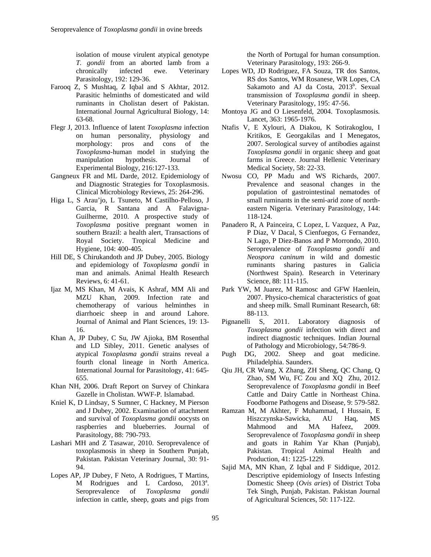isolation of mouse virulent atypical genotype *T. gondii* from an aborted lamb from a chronically infected ewe. Veterinary Parasitology, 192: 129-36.

- Farooq Z, S Mushtaq, Z Iqbal and S Akhtar, 2012. Parasitic helminths of domesticated and wild ruminants in Cholistan desert of Pakistan. International Journal Agricultural Biology, 14: 63-68.
- Flegr J, 2013. Influence of latent *Toxoplasma* infection on human personality, physiology and morphology: pros and cons of the *Toxoplasma*-human model in studying the manipulation hypothesis. Journal of Experimental Biology, 216:127-133.
- Gangneux FR and ML Darde, 2012. Epidemiology of and Diagnostic Strategies for Toxoplasmosis. Clinical Microbiology Reviews, 25: 264-296.
- Higa L, S Arau'jo, L Tsuneto, M Castilho-Pelloso, J Garcia, R Santana and A Falavigna-Guilherme, 2010. A prospective study of *Toxoplasma* positive pregnant women in southern Brazil: a health alert, Transactions of Royal Society. Tropical Medicine and Hygiene, 104: 400-405.
- Hill DE, S Chirukandoth and JP Dubey, 2005. Biology and epidemiology of *Toxoplasma gondii* in man and animals. Animal Health Research Reviews, 6: 41-61.
- Ijaz M, MS Khan, M Avais, K Ashraf, MM Ali and MZU Khan, 2009. Infection rate and chemotherapy of various helminthes in diarrhoeic sheep in and around Lahore. Journal of Animal and Plant Sciences, 19: 13- 16.
- Khan A, JP Dubey, C Su, JW Ajioka, BM Rosenthal and LD Sibley, 2011. Genetic analyses of atypical *Toxoplasma gondii* strains reveal a fourth clonal lineage in North America. International Journal for Parasitology, 41: 645- 655.
- Khan NH, 2006. Draft Report on Survey of Chinkara Gazelle in Cholistan. WWF-P*.* Islamabad.
- Kniel K, D Lindsay, S Sumner, C Hackney, M Pierson and J Dubey, 2002. Examination of attachment and survival of *Toxoplasma gondii* oocysts on raspberries and blueberries. Journal of Parasitology, 88: 790-793.
- Lashari MH and Z Tasawar, 2010. Seroprevalence of toxoplasmosis in sheep in Southern Punjab, Pakistan. Pakistan Veterinary Journal, 30: 91- 94.
- Lopes AP, JP Dubey, F Neto, A Rodrigues, T Martins, M Rodrigues and L Cardoso, 2013<sup>a</sup>. Seroprevalence of *Toxoplasma gondii* infection in cattle, sheep, goats and pigs from

the North of Portugal for human consumption. Veterinary Parasitology, 193: 266-9.

- Lopes WD, JD Rodriguez, FA Souza, TR dos Santos, RS dos Santos, WM Rosanese, WR Lopes, CA Sakamoto and AJ da Costa, 2013<sup>b</sup>. Sexual transmission of *Toxoplasma gondii* in sheep. Veterinary Parasitology, 195: 47-56.
- Montoya JG and O Liesenfeld, 2004. Toxoplasmosis*.*  Lancet, 363: 1965-1976.
- Ntafis V, E Xylouri, A Diakou, K Sotirakoglou, I Kritikos, E Georgakilas and I Menegatos, 2007. Serological survey of antibodies against *Toxoplasma gondii* in organic sheep and goat farms in Greece. Journal Hellenic Veterinary Medical Society, 58: 22-33.
- Nwosu CO, PP Madu and WS Richards, 2007. Prevalence and seasonal changes in the population of gastrointestinal nematodes of small ruminants in the semi-arid zone of northeastern Nigeria. Veterinary Parasitology, 144: 118-124.
- Panadero R, A Painceira, C Lopez, L Vazquez, A Paz, P Diaz, V Dacal, S Cienfuegos, G Fernandez, N Lago, P Diez-Banos and P Morrondo, 2010. Seroprevalence of *Toxoplasma gondii* and *Neospora caninum* in wild and domestic ruminants sharing pastures in Galicia (Northwest Spain). Research in Veterinary Science, 88: 111-115.
- Park YW, M Juarez, M Ramosc and GFW Haenlein, 2007. Physico-chemical characteristics of goat and sheep milk. Small Ruminant Research, 68: 88-113.
- Pignanelli S, 2011. Laboratory diagnosis of *Toxoplasma gondii* infection with direct and indirect diagnostic techniques. Indian Journal of Pathology and Microbiology, 54:786-9.
- Pugh DG, 2002. Sheep and goat medicine. Philadelphia. Saunders.
- Qiu JH, CR Wang, X Zhang, ZH Sheng, QC Chang, Q Zhao, SM Wu, FC Zou and XQ Zhu, 2012. Seroprevalence of *Toxoplasma gondii* in Beef Cattle and Dairy Cattle in Northeast China. Foodborne Pathogens and Disease*,* 9: 579-582.
- Ramzan M, M Akhter, F Muhammad, I Hussain, E Hiszczynska-Sawicka, AU Haq, MS Mahmood and MA Hafeez, 2009. Seroprevalence of *Toxoplasma gondii* in sheep and goats in Rahim Yar Khan (Punjab), Pakistan. Tropical Animal Health and Production, 41: 1225-1229.
- Sajid MA, MN Khan, Z Iqbal and F Siddique, 2012. Descriptive epidemiology of Insects Infesting Domestic Sheep (*Ovis aries*) of District Toba Tek Singh, Punjab, Pakistan. Pakistan Journal of Agricultural Sciences, 50: 117-122.